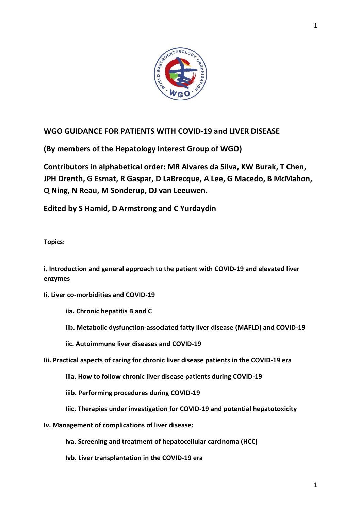

# **WGO GUIDANCE FOR PATIENTS WITH COVID-19 and LIVER DISEASE**

**(By members of the Hepatology Interest Group of WGO)**

**Contributors in alphabetical order: MR Alvares da Silva, KW Burak, T Chen, JPH Drenth, G Esmat, R Gaspar, D LaBrecque, A Lee, G Macedo, B McMahon, Q Ning, N Reau, M Sonderup, DJ van Leeuwen.**

**Edited by S Hamid, D Armstrong and C Yurdaydin**

**Topics:**

**i. Introduction and general approach to the patient with COVID-19 and elevated liver enzymes**

**Ii. Liver co-morbidities and COVID-19**

**iia. Chronic hepatitis B and C**

- **iib. Metabolic dysfunction-associated fatty liver disease (MAFLD) and COVID-19**
- **iic. Autoimmune liver diseases and COVID-19**
- **Iii. Practical aspects of caring for chronic liver disease patients in the COVID-19 era**

**iiia. How to follow chronic liver disease patients during COVID-19**

**iiib. Performing procedures during COVID-19**

- **Iiic. Therapies under investigation for COVID-19 and potential hepatotoxicity**
- **Iv. Management of complications of liver disease:**

**iva. Screening and treatment of hepatocellular carcinoma (HCC)**

**Ivb. Liver transplantation in the COVID-19 era**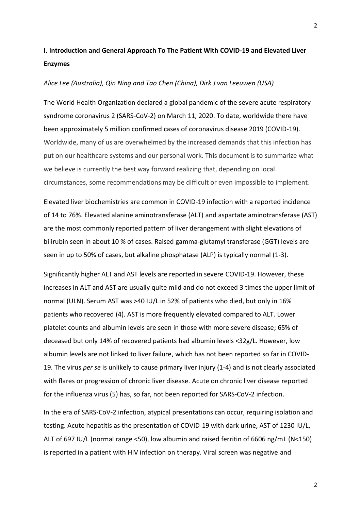# **I. Introduction and General Approach To The Patient With COVID-19 and Elevated Liver Enzymes**

#### *Alice Lee (Australia), Qin Ning and Tao Chen (China), Dirk J van Leeuwen (USA)*

The World Health Organization declared a global pandemic of the severe acute respiratory syndrome coronavirus 2 (SARS-CoV-2) on March 11, 2020. To date, worldwide there have been approximately 5 million confirmed cases of coronavirus disease 2019 (COVID-19). Worldwide, many of us are overwhelmed by the increased demands that this infection has put on our healthcare systems and our personal work. This document is to summarize what we believe is currently the best way forward realizing that, depending on local circumstances, some recommendations may be difficult or even impossible to implement.

Elevated liver biochemistries are common in COVID-19 infection with a reported incidence of 14 to 76%. Elevated alanine aminotransferase (ALT) and aspartate aminotransferase (AST) are the most commonly reported pattern of liver derangement with slight elevations of bilirubin seen in about 10 % of cases. Raised gamma-glutamyl transferase (GGT) levels are seen in up to 50% of cases, but alkaline phosphatase (ALP) is typically normal (1-3).

Significantly higher ALT and AST levels are reported in severe COVID-19. However, these increases in ALT and AST are usually quite mild and do not exceed 3 times the upper limit of normal (ULN). Serum AST was >40 IU/L in 52% of patients who died, but only in 16% patients who recovered (4). AST is more frequently elevated compared to ALT. Lower platelet counts and albumin levels are seen in those with more severe disease; 65% of deceased but only 14% of recovered patients had albumin levels <32g/L. However, low albumin levels are not linked to liver failure, which has not been reported so far in COVID-19. The virus *per se* is unlikely to cause primary liver injury (1-4) and is not clearly associated with flares or progression of chronic liver disease. Acute on chronic liver disease reported for the influenza virus (5) has, so far, not been reported for SARS-CoV-2 infection.

In the era of SARS-CoV-2 infection, atypical presentations can occur, requiring isolation and testing. Acute hepatitis as the presentation of COVID-19 with dark urine, AST of 1230 IU/L, ALT of 697 IU/L (normal range <50), low albumin and raised ferritin of 6606 ng/mL (N<150) is reported in a patient with HIV infection on therapy. Viral screen was negative and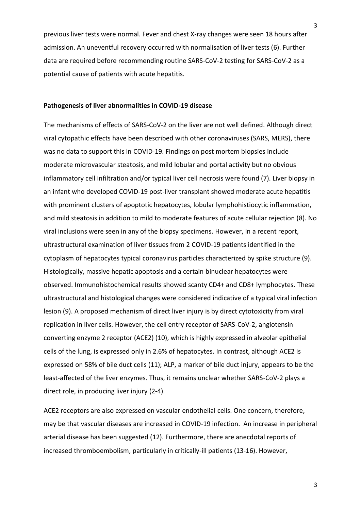previous liver tests were normal. Fever and chest X-ray changes were seen 18 hours after admission. An uneventful recovery occurred with normalisation of liver tests (6). Further data are required before recommending routine SARS-CoV-2 testing for SARS-CoV-2 as a potential cause of patients with acute hepatitis.

#### **Pathogenesis of liver abnormalities in COVID-19 disease**

The mechanisms of effects of SARS-CoV-2 on the liver are not well defined. Although direct viral cytopathic effects have been described with other coronaviruses (SARS, MERS), there was no data to support this in COVID-19. Findings on post mortem biopsies include moderate microvascular steatosis, and mild lobular and portal activity but no obvious inflammatory cell infiltration and/or typical liver cell necrosis were found (7). Liver biopsy in an infant who developed COVID-19 post-liver transplant showed moderate acute hepatitis with prominent clusters of apoptotic hepatocytes, lobular lymphohistiocytic inflammation, and mild steatosis in addition to mild to moderate features of acute cellular rejection (8). No viral inclusions were seen in any of the biopsy specimens. However, in a recent report, ultrastructural examination of liver tissues from 2 COVID-19 patients identified in the cytoplasm of hepatocytes typical coronavirus particles characterized by spike structure (9). Histologically, massive hepatic apoptosis and a certain binuclear hepatocytes were observed. Immunohistochemical results showed scanty CD4+ and CD8+ lymphocytes. These ultrastructural and histological changes were considered indicative of a typical viral infection lesion (9). A proposed mechanism of direct liver injury is by direct cytotoxicity from viral replication in liver cells. However, the cell entry receptor of SARS-CoV-2, angiotensin converting enzyme 2 receptor (ACE2) (10), which is highly expressed in alveolar epithelial cells of the lung, is expressed only in 2.6% of hepatocytes. In contrast, although ACE2 is expressed on 58% of bile duct cells (11); ALP, a marker of bile duct injury, appears to be the least-affected of the liver enzymes. Thus, it remains unclear whether SARS-CoV-2 plays a direct role, in producing liver injury (2-4).

ACE2 receptors are also expressed on vascular endothelial cells. One concern, therefore, may be that vascular diseases are increased in COVID-19 infection. An increase in peripheral arterial disease has been suggested (12). Furthermore, there are anecdotal reports of increased thromboembolism, particularly in critically-ill patients (13-16). However,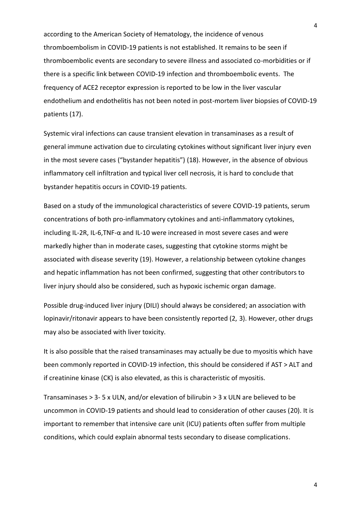according to the American Society of Hematology, the incidence of venous thromboembolism in COVID-19 patients is not established. It remains to be seen if thromboembolic events are secondary to severe illness and associated co-morbidities or if there is a specific link between COVID-19 infection and thromboembolic events. The frequency of ACE2 receptor expression is reported to be low in the liver vascular endothelium and endothelitis has not been noted in post-mortem liver biopsies of COVID-19 patients (17).

Systemic viral infections can cause transient elevation in transaminases as a result of general immune activation due to circulating cytokines without significant liver injury even in the most severe cases ("bystander hepatitis") (18). However, in the absence of obvious inflammatory cell infiltration and typical liver cell necrosis, it is hard to conclude that bystander hepatitis occurs in COVID-19 patients.

Based on a study of the immunological characteristics of severe COVID-19 patients, serum concentrations of both pro-inflammatory cytokines and anti-inflammatory cytokines, including IL-2R, IL-6,TNF-α and IL-10 were increased in most severe cases and were markedly higher than in moderate cases, suggesting that cytokine storms might be associated with disease severity (19). However, a relationship between cytokine changes and hepatic inflammation has not been confirmed, suggesting that other contributors to liver injury should also be considered, such as hypoxic ischemic organ damage.

Possible drug-induced liver injury (DILI) should always be considered; an association with lopinavir/ritonavir appears to have been consistently reported (2, 3). However, other drugs may also be associated with liver toxicity.

It is also possible that the raised transaminases may actually be due to myositis which have been commonly reported in COVID-19 infection, this should be considered if AST > ALT and if creatinine kinase (CK) is also elevated, as this is characteristic of myositis.

Transaminases > 3- 5 x ULN, and/or elevation of bilirubin > 3 x ULN are believed to be uncommon in COVID-19 patients and should lead to consideration of other causes (20). It is important to remember that intensive care unit (ICU) patients often suffer from multiple conditions, which could explain abnormal tests secondary to disease complications.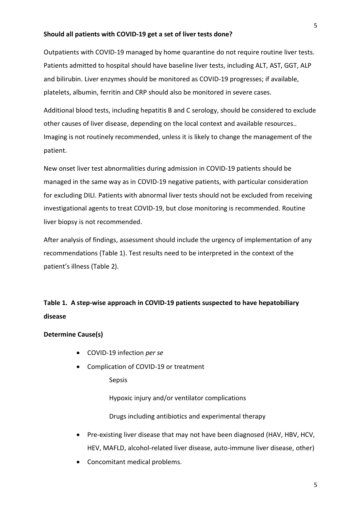### **Should all patients with COVID-19 get a set of liver tests done?**

Outpatients with COVID-19 managed by home quarantine do not require routine liver tests. Patients admitted to hospital should have baseline liver tests, including ALT, AST, GGT, ALP and bilirubin. Liver enzymes should be monitored as COVID-19 progresses; if available, platelets, albumin, ferritin and CRP should also be monitored in severe cases.

Additional blood tests, including hepatitis B and C serology, should be considered to exclude other causes of liver disease, depending on the local context and available resources.. Imaging is not routinely recommended, unless it is likely to change the management of the patient.

New onset liver test abnormalities during admission in COVID-19 patients should be managed in the same way as in COVID-19 negative patients, with particular consideration for excluding DILI. Patients with abnormal liver tests should not be excluded from receiving investigational agents to treat COVID-19, but close monitoring is recommended. Routine liver biopsy is not recommended.

After analysis of findings, assessment should include the urgency of implementation of any recommendations (Table 1). Test results need to be interpreted in the context of the patient's illness (Table 2).

# **Table 1. A step-wise approach in COVID-19 patients suspected to have hepatobiliary disease**

#### **Determine Cause(s)**

- COVID-19 infection *per se*
- Complication of COVID-19 or treatment

Sepsis

Hypoxic injury and/or ventilator complications

Drugs including antibiotics and experimental therapy

- Pre-existing liver disease that may not have been diagnosed (HAV, HBV, HCV, HEV, MAFLD, alcohol-related liver disease, auto-immune liver disease, other)
- Concomitant medical problems.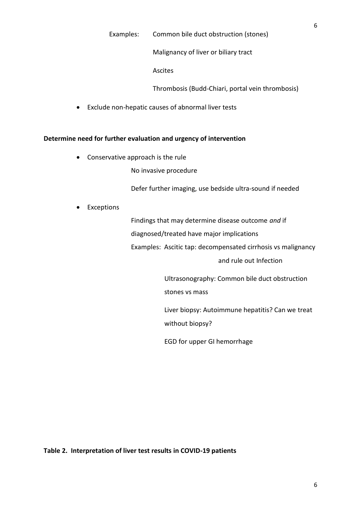Malignancy of liver or biliary tract

Ascites

Thrombosis (Budd-Chiari, portal vein thrombosis)

Exclude non-hepatic causes of abnormal liver tests

#### **Determine need for further evaluation and urgency of intervention**

Conservative approach is the rule

No invasive procedure

Defer further imaging, use bedside ultra-sound if needed

Exceptions

Findings that may determine disease outcome *and* if

diagnosed/treated have major implications

Examples: Ascitic tap: decompensated cirrhosis vs malignancy

and rule out Infection

Ultrasonography: Common bile duct obstruction stones vs mass

Liver biopsy: Autoimmune hepatitis? Can we treat without biopsy?

EGD for upper GI hemorrhage

**Table 2. Interpretation of liver test results in COVID-19 patients**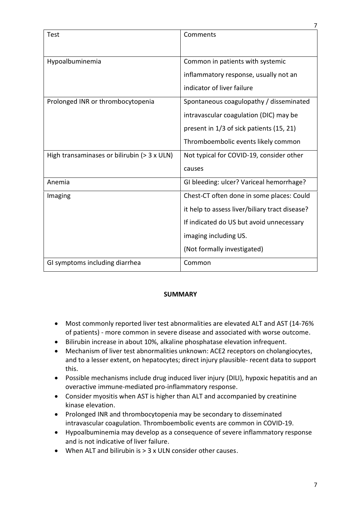|                                             | 7                                              |
|---------------------------------------------|------------------------------------------------|
| Test                                        | Comments                                       |
|                                             |                                                |
|                                             |                                                |
| Hypoalbuminemia                             | Common in patients with systemic               |
|                                             | inflammatory response, usually not an          |
|                                             | indicator of liver failure                     |
| Prolonged INR or thrombocytopenia           | Spontaneous coagulopathy / disseminated        |
|                                             | intravascular coagulation (DIC) may be         |
|                                             | present in 1/3 of sick patients (15, 21)       |
|                                             | Thromboembolic events likely common            |
| High transaminases or bilirubin (> 3 x ULN) | Not typical for COVID-19, consider other       |
|                                             | causes                                         |
| Anemia                                      | GI bleeding: ulcer? Variceal hemorrhage?       |
| Imaging                                     | Chest-CT often done in some places: Could      |
|                                             | it help to assess liver/biliary tract disease? |
|                                             | If indicated do US but avoid unnecessary       |
|                                             | imaging including US.                          |
|                                             | (Not formally investigated)                    |
| GI symptoms including diarrhea              | Common                                         |

# **SUMMARY**

- Most commonly reported liver test abnormalities are elevated ALT and AST (14-76% of patients) - more common in severe disease and associated with worse outcome.
- Bilirubin increase in about 10%, alkaline phosphatase elevation infrequent.
- Mechanism of liver test abnormalities unknown: ACE2 receptors on cholangiocytes, and to a lesser extent, on hepatocytes; direct injury plausible- recent data to support this.
- Possible mechanisms include drug induced liver injury (DILI), hypoxic hepatitis and an overactive immune-mediated pro-inflammatory response.
- Consider myositis when AST is higher than ALT and accompanied by creatinine kinase elevation.
- Prolonged INR and thrombocytopenia may be secondary to disseminated intravascular coagulation. Thromboembolic events are common in COVID-19.
- Hypoalbuminemia may develop as a consequence of severe inflammatory response and is not indicative of liver failure.
- When ALT and bilirubin is > 3 x ULN consider other causes.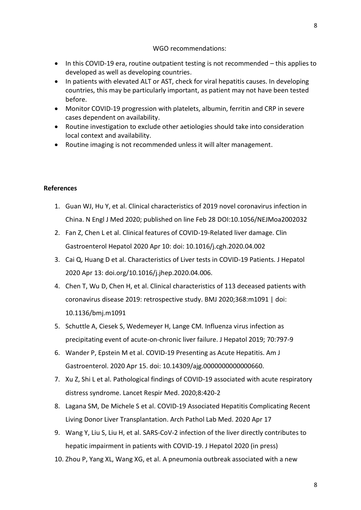# WGO recommendations:

- In this COVID-19 era, routine outpatient testing is not recommended this applies to developed as well as developing countries.
- In patients with elevated ALT or AST, check for viral hepatitis causes. In developing countries, this may be particularly important, as patient may not have been tested before.
- Monitor COVID-19 progression with platelets, albumin, ferritin and CRP in severe cases dependent on availability.
- Routine investigation to exclude other aetiologies should take into consideration local context and availability.
- Routine imaging is not recommended unless it will alter management.

# **References**

- 1. Guan WJ, Hu Y, et al. Clinical characteristics of 2019 novel coronavirus infection in China. N Engl J Med 2020; published on line Feb 28 DOI:10.1056/NEJMoa2002032
- 2. Fan Z, Chen L et al. Clinical features of COVID-19-Related liver damage. Clin Gastroenterol Hepatol 2020 Apr 10: doi: 10.1016/j.cgh.2020.04.002
- 3. Cai Q, Huang D et al. Characteristics of Liver tests in COVID-19 Patients. J Hepatol 2020 Apr 13: doi.org/10.1016/j.jhep.2020.04.006.
- 4. Chen T, Wu D, Chen H, et al. Clinical characteristics of 113 deceased patients with coronavirus disease 2019: retrospective study. BMJ 2020;368:m1091 | doi: 10.1136/bmj.m1091
- 5. Schuttle A, Ciesek S, Wedemeyer H, Lange CM. Influenza virus infection as precipitating event of acute-on-chronic liver failure. J Hepatol 2019; 70:797-9
- 6. Wander P, Epstein M et al. COVID-19 Presenting as Acute Hepatitis. Am J Gastroenterol. 2020 Apr 15. doi: 10.14309/ajg.0000000000000660.
- 7. Xu Z, Shi L et al. Pathological findings of COVID-19 associated with acute respiratory distress syndrome. Lancet Respir Med. 2020;8:420-2
- 8. Lagana SM, De Michele S et al. COVID-19 Associated Hepatitis Complicating Recent Living Donor Liver Transplantation. Arch Pathol Lab Med. 2020 Apr 17
- 9. Wang Y, Liu S, Liu H, et al. SARS-CoV-2 infection of the liver directly contributes to hepatic impairment in patients with COVID-19. J Hepatol 2020 (in press)
- 10. Zhou P, Yang XL, Wang XG, et al. A pneumonia outbreak associated with a new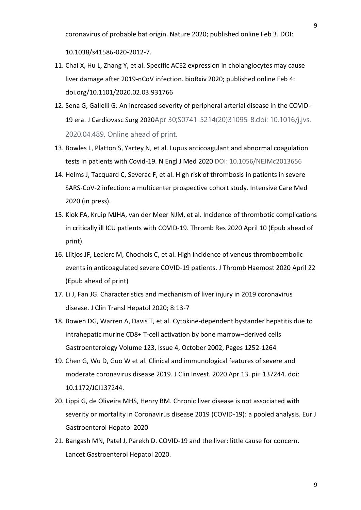coronavirus of probable bat origin. Nature 2020; published online Feb 3. DOI:

10.1038/s41586-020-2012-7.

- 11. Chai X, Hu L, Zhang Y, et al. Specific ACE2 expression in cholangiocytes may cause liver damage after 2019-nCoV infection. bioRxiv 2020; published online Feb 4: doi.org/10.1101/2020.02.03.931766
- 12. Sena G, Gallelli G. An increased severity of peripheral arterial disease in the COVID-19 era. J Cardiovasc Surg 2020Apr 30;S0741-5214(20)31095-8.doi: 10.1016/j.jvs. 2020.04.489. Online ahead of print.
- 13. Bowles L, Platton S, Yartey N, et al. Lupus anticoagulant and abnormal coagulation tests in patients with Covid-19. N Engl J Med 2020 DOI: 10.1056/NEJMc2013656
- 14. Helms J, Tacquard C, Severac F, et al. High risk of thrombosis in patients in severe SARS-CoV-2 infection: a multicenter prospective cohort study. Intensive Care Med 2020 (in press).
- 15. Klok FA, Kruip MJHA, van der Meer NJM, et al. Incidence of thrombotic complications in critically ill ICU patients with COVID-19. Thromb Res 2020 April 10 (Epub ahead of print).
- 16. Llitjos JF, Leclerc M, Chochois C, et al. High incidence of venous thromboembolic events in anticoagulated severe COVID-19 patients. J Thromb Haemost 2020 April 22 (Epub ahead of print)
- 17. Li J, Fan JG. Characteristics and mechanism of liver injury in 2019 coronavirus disease. J Clin Transl Hepatol 2020; 8:13-7
- 18. Bowen DG, Warren A, Davis T, et al. Cytokine-dependent bystander hepatitis due to intrahepatic murine CD8+ T-cell activation by bone marrow–derived cells Gastroenterology Volume 123, Issue 4, October 2002, Pages 1252-1264
- 19. Chen G, Wu D, Guo W et al. Clinical and immunological features of severe and moderate coronavirus disease 2019. J Clin Invest. 2020 Apr 13. pii: 137244. doi: 10.1172/JCI137244.
- 20. Lippi G, de Oliveira MHS, Henry BM. Chronic liver disease is not associated with severity or mortality in Coronavirus disease 2019 (COVID-19): a pooled analysis. Eur J Gastroenterol Hepatol 2020
- 21. Bangash MN, Patel J, Parekh D. COVID-19 and the liver: little cause for concern. Lancet Gastroenterol Hepatol 2020.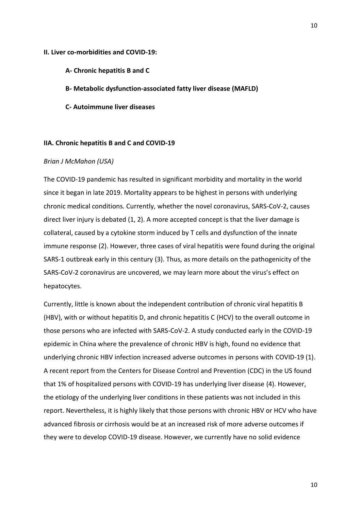#### **II. Liver co-morbidities and COVID-19:**

- **A- Chronic hepatitis B and C**
- **B- Metabolic dysfunction-associated fatty liver disease (MAFLD)**
- **C- Autoimmune liver diseases**

#### **IIA. Chronic hepatitis B and C and COVID-19**

### *Brian J McMahon (USA)*

The COVID-19 pandemic has resulted in significant morbidity and mortality in the world since it began in late 2019. Mortality appears to be highest in persons with underlying chronic medical conditions. Currently, whether the novel coronavirus, SARS-CoV-2, causes direct liver injury is debated (1, 2). A more accepted concept is that the liver damage is collateral, caused by a cytokine storm induced by T cells and dysfunction of the innate immune response (2). However, three cases of viral hepatitis were found during the original SARS-1 outbreak early in this century (3). Thus, as more details on the pathogenicity of the SARS-CoV-2 coronavirus are uncovered, we may learn more about the virus's effect on hepatocytes.

Currently, little is known about the independent contribution of chronic viral hepatitis B (HBV), with or without hepatitis D, and chronic hepatitis C (HCV) to the overall outcome in those persons who are infected with SARS-CoV-2. A study conducted early in the COVID-19 epidemic in China where the prevalence of chronic HBV is high, found no evidence that underlying chronic HBV infection increased adverse outcomes in persons with COVID-19 (1). A recent report from the Centers for Disease Control and Prevention (CDC) in the US found that 1% of hospitalized persons with COVID-19 has underlying liver disease (4). However, the etiology of the underlying liver conditions in these patients was not included in this report. Nevertheless, it is highly likely that those persons with chronic HBV or HCV who have advanced fibrosis or cirrhosis would be at an increased risk of more adverse outcomes if they were to develop COVID-19 disease. However, we currently have no solid evidence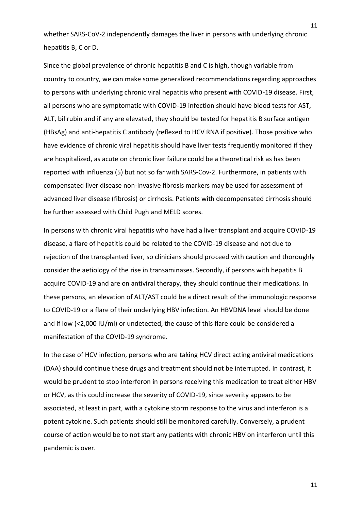whether SARS-CoV-2 independently damages the liver in persons with underlying chronic hepatitis B, C or D.

Since the global prevalence of chronic hepatitis B and C is high, though variable from country to country, we can make some generalized recommendations regarding approaches to persons with underlying chronic viral hepatitis who present with COVID-19 disease. First, all persons who are symptomatic with COVID-19 infection should have blood tests for AST, ALT, bilirubin and if any are elevated, they should be tested for hepatitis B surface antigen (HBsAg) and anti-hepatitis C antibody (reflexed to HCV RNA if positive). Those positive who have evidence of chronic viral hepatitis should have liver tests frequently monitored if they are hospitalized, as acute on chronic liver failure could be a theoretical risk as has been reported with influenza (5) but not so far with SARS-Cov-2. Furthermore, in patients with compensated liver disease non-invasive fibrosis markers may be used for assessment of advanced liver disease (fibrosis) or cirrhosis. Patients with decompensated cirrhosis should be further assessed with Child Pugh and MELD scores.

In persons with chronic viral hepatitis who have had a liver transplant and acquire COVID-19 disease, a flare of hepatitis could be related to the COVID-19 disease and not due to rejection of the transplanted liver, so clinicians should proceed with caution and thoroughly consider the aetiology of the rise in transaminases. Secondly, if persons with hepatitis B acquire COVID-19 and are on antiviral therapy, they should continue their medications. In these persons, an elevation of ALT/AST could be a direct result of the immunologic response to COVID-19 or a flare of their underlying HBV infection. An HBVDNA level should be done and if low (<2,000 IU/ml) or undetected, the cause of this flare could be considered a manifestation of the COVID-19 syndrome.

In the case of HCV infection, persons who are taking HCV direct acting antiviral medications (DAA) should continue these drugs and treatment should not be interrupted. In contrast, it would be prudent to stop interferon in persons receiving this medication to treat either HBV or HCV, as this could increase the severity of COVID-19, since severity appears to be associated, at least in part, with a cytokine storm response to the virus and interferon is a potent cytokine. Such patients should still be monitored carefully. Conversely, a prudent course of action would be to not start any patients with chronic HBV on interferon until this pandemic is over.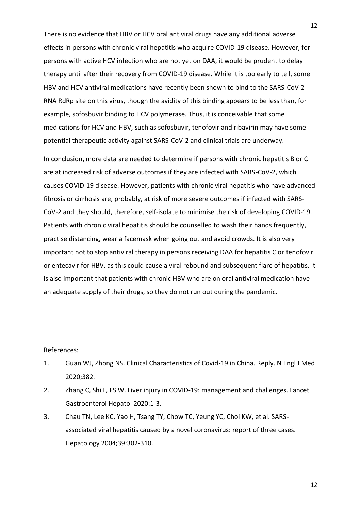There is no evidence that HBV or HCV oral antiviral drugs have any additional adverse effects in persons with chronic viral hepatitis who acquire COVID-19 disease. However, for persons with active HCV infection who are not yet on DAA, it would be prudent to delay therapy until after their recovery from COVID-19 disease. While it is too early to tell, some HBV and HCV antiviral medications have recently been shown to bind to the SARS-CoV-2 RNA RdRp site on this virus, though the avidity of this binding appears to be less than, for example, sofosbuvir binding to HCV polymerase. Thus, it is conceivable that some medications for HCV and HBV, such as sofosbuvir, tenofovir and ribavirin may have some potential therapeutic activity against SARS-CoV-2 and clinical trials are underway.

In conclusion, more data are needed to determine if persons with chronic hepatitis B or C are at increased risk of adverse outcomes if they are infected with SARS-CoV-2, which causes COVID-19 disease. However, patients with chronic viral hepatitis who have advanced fibrosis or cirrhosis are, probably, at risk of more severe outcomes if infected with SARS-CoV-2 and they should, therefore, self-isolate to minimise the risk of developing COVID-19. Patients with chronic viral hepatitis should be counselled to wash their hands frequently, practise distancing, wear a facemask when going out and avoid crowds. It is also very important not to stop antiviral therapy in persons receiving DAA for hepatitis C or tenofovir or entecavir for HBV, as this could cause a viral rebound and subsequent flare of hepatitis. It is also important that patients with chronic HBV who are on oral antiviral medication have an adequate supply of their drugs, so they do not run out during the pandemic.

#### References:

- 1. Guan WJ, Zhong NS. Clinical Characteristics of Covid-19 in China. Reply. N Engl J Med 2020;382.
- 2. Zhang C, Shi L, FS W. Liver injury in COVID-19: management and challenges. Lancet Gastroenterol Hepatol 2020:1-3.
- 3. Chau TN, Lee KC, Yao H, Tsang TY, Chow TC, Yeung YC, Choi KW, et al. SARSassociated viral hepatitis caused by a novel coronavirus: report of three cases. Hepatology 2004;39:302-310.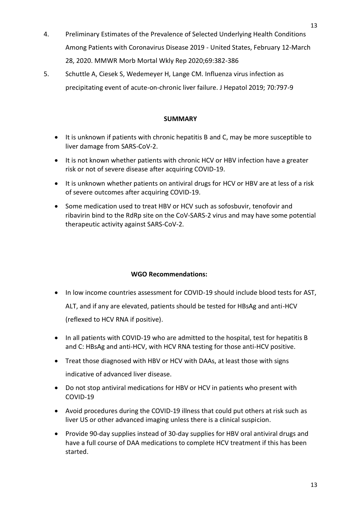- 4. Preliminary Estimates of the Prevalence of Selected Underlying Health Conditions Among Patients with Coronavirus Disease 2019 - United States, February 12-March 28, 2020. MMWR Morb Mortal Wkly Rep 2020;69:382-386
- 5. Schuttle A, Ciesek S, Wedemeyer H, Lange CM. Influenza virus infection as precipitating event of acute-on-chronic liver failure. J Hepatol 2019; 70:797-9

# **SUMMARY**

- It is unknown if patients with chronic hepatitis B and C, may be more susceptible to liver damage from SARS-CoV-2.
- It is not known whether patients with chronic HCV or HBV infection have a greater risk or not of severe disease after acquiring COVID-19.
- It is unknown whether patients on antiviral drugs for HCV or HBV are at less of a risk of severe outcomes after acquiring COVID-19.
- Some medication used to treat HBV or HCV such as sofosbuvir, tenofovir and ribavirin bind to the RdRp site on the CoV-SARS-2 virus and may have some potential therapeutic activity against SARS-CoV-2.

# **WGO Recommendations:**

- In low income countries assessment for COVID-19 should include blood tests for AST, ALT, and if any are elevated, patients should be tested for HBsAg and anti-HCV (reflexed to HCV RNA if positive).
- In all patients with COVID-19 who are admitted to the hospital, test for hepatitis B and C: HBsAg and anti-HCV, with HCV RNA testing for those anti-HCV positive.
- Treat those diagnosed with HBV or HCV with DAAs, at least those with signs indicative of advanced liver disease.
- Do not stop antiviral medications for HBV or HCV in patients who present with COVID-19
- Avoid procedures during the COVID-19 illness that could put others at risk such as liver US or other advanced imaging unless there is a clinical suspicion.
- Provide 90-day supplies instead of 30-day supplies for HBV oral antiviral drugs and have a full course of DAA medications to complete HCV treatment if this has been started.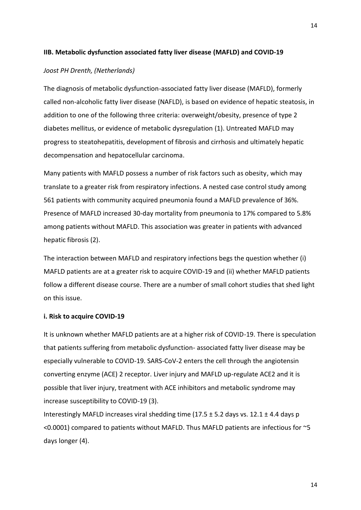#### **IIB. Metabolic dysfunction associated fatty liver disease (MAFLD) and COVID-19**

#### *Joost PH Drenth, (Netherlands)*

The diagnosis of metabolic dysfunction-associated fatty liver disease (MAFLD), formerly called non-alcoholic fatty liver disease (NAFLD), is based on evidence of hepatic steatosis, in addition to one of the following three criteria: overweight/obesity, presence of type 2 diabetes mellitus, or evidence of metabolic dysregulation (1). Untreated MAFLD may progress to steatohepatitis, development of fibrosis and cirrhosis and ultimately hepatic decompensation and hepatocellular carcinoma.

Many patients with MAFLD possess a number of risk factors such as obesity, which may translate to a greater risk from respiratory infections. A nested case control study among 561 patients with community acquired pneumonia found a MAFLD prevalence of 36%. Presence of MAFLD increased 30-day mortality from pneumonia to 17% compared to 5.8% among patients without MAFLD. This association was greater in patients with advanced hepatic fibrosis (2).

The interaction between MAFLD and respiratory infections begs the question whether (i) MAFLD patients are at a greater risk to acquire COVID-19 and (ii) whether MAFLD patients follow a different disease course. There are a number of small cohort studies that shed light on this issue.

#### **i. Risk to acquire COVID-19**

It is unknown whether MAFLD patients are at a higher risk of COVID-19. There is speculation that patients suffering from metabolic dysfunction- associated fatty liver disease may be especially vulnerable to COVID-19. SARS-CoV-2 enters the cell through the angiotensin converting enzyme (ACE) 2 receptor. Liver injury and MAFLD up-regulate ACE2 and it is possible that liver injury, treatment with ACE inhibitors and metabolic syndrome may increase susceptibility to COVID-19 (3).

Interestingly MAFLD increases viral shedding time  $(17.5 \pm 5.2$  days vs. 12.1  $\pm$  4.4 days p  $<$  0.0001) compared to patients without MAFLD. Thus MAFLD patients are infectious for  $\sim$  5 days longer (4).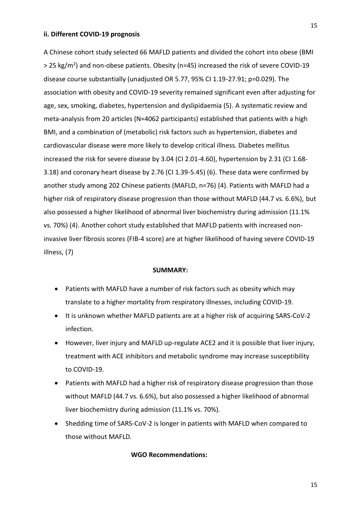#### **ii. Different COVID-19 prognosis**

A Chinese cohort study selected 66 MAFLD patients and divided the cohort into obese (BMI > 25 kg/m<sup>2</sup>) and non-obese patients. Obesity (n=45) increased the risk of severe COVID-19 disease course substantially (unadjusted OR 5.77, 95% CI 1.19-27.91; p=0.029). The association with obesity and COVID-19 severity remained significant even after adjusting for age, sex, smoking, diabetes, hypertension and dyslipidaemia (5). A systematic review and meta-analysis from 20 articles (N=4062 participants) established that patients with a high BMI, and a combination of (metabolic) risk factors such as hypertension, diabetes and cardiovascular disease were more likely to develop critical illness. Diabetes mellitus increased the risk for severe disease by 3.04 (CI 2.01-4.60), hypertension by 2.31 (CI 1.68- 3.18) and coronary heart disease by 2.76 (CI 1.39-5.45) (6). These data were confirmed by another study among 202 Chinese patients (MAFLD, n=76) (4). Patients with MAFLD had a higher risk of respiratory disease progression than those without MAFLD (44.7 vs. 6.6%), but also possessed a higher likelihood of abnormal liver biochemistry during admission (11.1% vs. 70%) (4). Another cohort study established that MAFLD patients with increased noninvasive liver fibrosis scores (FIB-4 score) are at higher likelihood of having severe COVID-19 illness, (7)

#### **SUMMARY:**

- Patients with MAFLD have a number of risk factors such as obesity which may translate to a higher mortality from respiratory illnesses, including COVID-19.
- It is unknown whether MAFLD patients are at a higher risk of acquiring SARS-CoV-2 infection.
- However, liver injury and MAFLD up-regulate ACE2 and it is possible that liver injury, treatment with ACE inhibitors and metabolic syndrome may increase susceptibility to COVID-19.
- Patients with MAFLD had a higher risk of respiratory disease progression than those without MAFLD (44.7 vs. 6.6%), but also possessed a higher likelihood of abnormal liver biochemistry during admission (11.1% vs. 70%).
- Shedding time of SARS-CoV-2 is longer in patients with MAFLD when compared to those without MAFLD.

#### **WGO Recommendations:**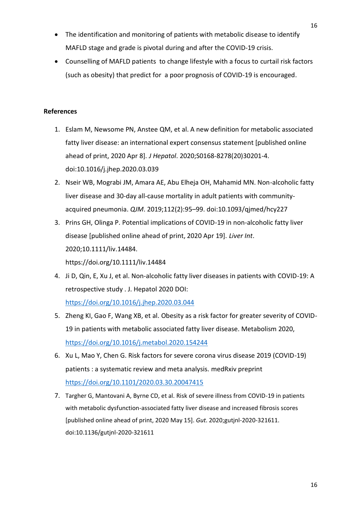- The identification and monitoring of patients with metabolic disease to identify MAFLD stage and grade is pivotal during and after the COVID-19 crisis.
- Counselling of MAFLD patients to change lifestyle with a focus to curtail risk factors (such as obesity) that predict for a poor prognosis of COVID-19 is encouraged.

# **References**

- 1. Eslam M, Newsome PN, Anstee QM, et al. A new definition for metabolic associated fatty liver disease: an international expert consensus statement [published online ahead of print, 2020 Apr 8]. *J Hepatol*. 2020;S0168-8278(20)30201-4. doi:10.1016/j.jhep.2020.03.039
- 2. Nseir WB, Mograbi JM, Amara AE, Abu Elheja OH, Mahamid MN. Non-alcoholic fatty liver disease and 30-day all-cause mortality in adult patients with communityacquired pneumonia. *QJM*. 2019;112(2):95–99. doi:10.1093/qjmed/hcy227
- 3. Prins GH, Olinga P. Potential implications of COVID-19 in non-alcoholic fatty liver disease [published online ahead of print, 2020 Apr 19]. *Liver Int*. 2020;10.1111/liv.14484. https://doi.org/10.1111/liv.14484
- 4. Ji D, Qin, E, Xu J, et al. Non-alcoholic fatty liver diseases in patients with COVID-19: A retrospective study . J. Hepatol 2020 DOI: <https://doi.org/10.1016/j.jhep.2020.03.044>
- 5. Zheng KI, Gao F, Wang XB, et al. Obesity as a risk factor for greater severity of COVID-19 in patients with metabolic associated fatty liver disease. Metabolism 2020, <https://doi.org/10.1016/j.metabol.2020.154244>
- 6. Xu L, Mao Y, Chen G. Risk factors for severe corona virus disease 2019 (COVID-19) patients : a systematic review and meta analysis. medRxiv preprint <https://doi.org/10.1101/2020.03.30.20047415>
- 7. Targher G, Mantovani A, Byrne CD, et al. Risk of severe illness from COVID-19 in patients with metabolic dysfunction-associated fatty liver disease and increased fibrosis scores [published online ahead of print, 2020 May 15]. *Gut*. 2020;gutjnl-2020-321611. doi:10.1136/gutjnl-2020-321611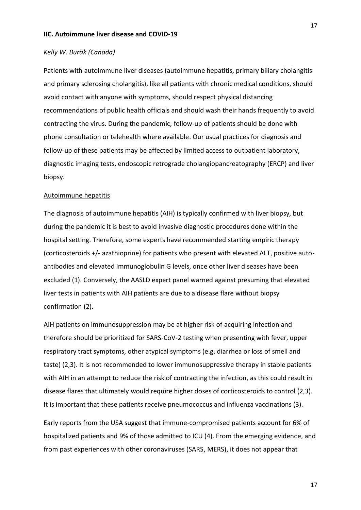#### **IIC. Autoimmune liver disease and COVID-19**

#### *Kelly W. Burak (Canada)*

Patients with autoimmune liver diseases (autoimmune hepatitis, primary biliary cholangitis and primary sclerosing cholangitis), like all patients with chronic medical conditions, should avoid contact with anyone with symptoms, should respect physical distancing recommendations of public health officials and should wash their hands frequently to avoid contracting the virus. During the pandemic, follow-up of patients should be done with phone consultation or telehealth where available. Our usual practices for diagnosis and follow-up of these patients may be affected by limited access to outpatient laboratory, diagnostic imaging tests, endoscopic retrograde cholangiopancreatography (ERCP) and liver biopsy.

#### Autoimmune hepatitis

The diagnosis of autoimmune hepatitis (AIH) is typically confirmed with liver biopsy, but during the pandemic it is best to avoid invasive diagnostic procedures done within the hospital setting. Therefore, some experts have recommended starting empiric therapy (corticosteroids +/- azathioprine) for patients who present with elevated ALT, positive autoantibodies and elevated immunoglobulin G levels, once other liver diseases have been excluded (1). Conversely, the AASLD expert panel warned against presuming that elevated liver tests in patients with AIH patients are due to a disease flare without biopsy confirmation (2).

AIH patients on immunosuppression may be at higher risk of acquiring infection and therefore should be prioritized for SARS-CoV-2 testing when presenting with fever, upper respiratory tract symptoms, other atypical symptoms (e.g. diarrhea or loss of smell and taste) (2,3). It is not recommended to lower immunosuppressive therapy in stable patients with AIH in an attempt to reduce the risk of contracting the infection, as this could result in disease flares that ultimately would require higher doses of corticosteroids to control (2,3). It is important that these patients receive pneumococcus and influenza vaccinations (3).

Early reports from the USA suggest that immune-compromised patients account for 6% of hospitalized patients and 9% of those admitted to ICU (4). From the emerging evidence, and from past experiences with other coronaviruses (SARS, MERS), it does not appear that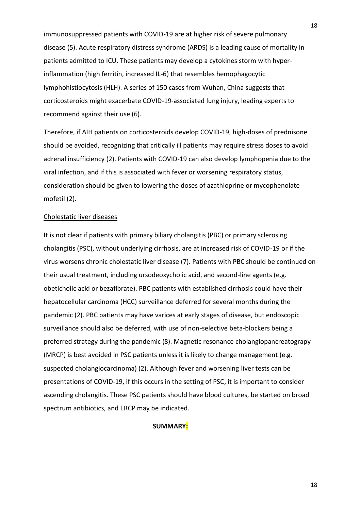immunosuppressed patients with COVID-19 are at higher risk of severe pulmonary disease (5). Acute respiratory distress syndrome (ARDS) is a leading cause of mortality in patients admitted to ICU. These patients may develop a cytokines storm with hyperinflammation (high ferritin, increased IL-6) that resembles hemophagocytic lymphohistiocytosis (HLH). A series of 150 cases from Wuhan, China suggests that corticosteroids might exacerbate COVID-19-associated lung injury, leading experts to recommend against their use (6).

Therefore, if AIH patients on corticosteroids develop COVID-19, high-doses of prednisone should be avoided, recognizing that critically ill patients may require stress doses to avoid adrenal insufficiency (2). Patients with COVID-19 can also develop lymphopenia due to the viral infection, and if this is associated with fever or worsening respiratory status, consideration should be given to lowering the doses of azathioprine or mycophenolate mofetil (2).

#### Cholestatic liver diseases

It is not clear if patients with primary biliary cholangitis (PBC) or primary sclerosing cholangitis (PSC), without underlying cirrhosis, are at increased risk of COVID-19 or if the virus worsens chronic cholestatic liver disease (7). Patients with PBC should be continued on their usual treatment, including ursodeoxycholic acid, and second-line agents (e.g. obeticholic acid or bezafibrate). PBC patients with established cirrhosis could have their hepatocellular carcinoma (HCC) surveillance deferred for several months during the pandemic (2). PBC patients may have varices at early stages of disease, but endoscopic surveillance should also be deferred, with use of non-selective beta-blockers being a preferred strategy during the pandemic (8). Magnetic resonance cholangiopancreatograpy (MRCP) is best avoided in PSC patients unless it is likely to change management (e.g. suspected cholangiocarcinoma) (2). Although fever and worsening liver tests can be presentations of COVID-19, if this occurs in the setting of PSC, it is important to consider ascending cholangitis. These PSC patients should have blood cultures, be started on broad spectrum antibiotics, and ERCP may be indicated.

### **SUMMARY:**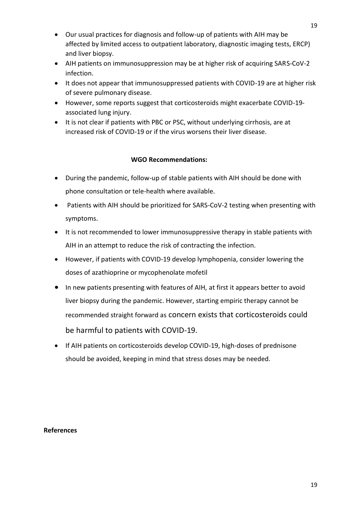- Our usual practices for diagnosis and follow-up of patients with AIH may be affected by limited access to outpatient laboratory, diagnostic imaging tests, ERCP) and liver biopsy.
- AIH patients on immunosuppression may be at higher risk of acquiring SARS-CoV-2 infection.
- It does not appear that immunosuppressed patients with COVID-19 are at higher risk of severe pulmonary disease.
- However, some reports suggest that corticosteroids might exacerbate COVID-19 associated lung injury.
- It is not clear if patients with PBC or PSC, without underlying cirrhosis, are at increased risk of COVID-19 or if the virus worsens their liver disease.

# **WGO Recommendations:**

- During the pandemic, follow-up of stable patients with AIH should be done with phone consultation or tele-health where available.
- Patients with AIH should be prioritized for SARS-CoV-2 testing when presenting with symptoms.
- It is not recommended to lower immunosuppressive therapy in stable patients with AIH in an attempt to reduce the risk of contracting the infection.
- However, if patients with COVID-19 develop lymphopenia, consider lowering the doses of azathioprine or mycophenolate mofetil
- In new patients presenting with features of AIH, at first it appears better to avoid liver biopsy during the pandemic. However, starting empiric therapy cannot be recommended straight forward as concern exists that corticosteroids could be harmful to patients with COVID-19.
- If AIH patients on corticosteroids develop COVID-19, high-doses of prednisone should be avoided, keeping in mind that stress doses may be needed.

# **References**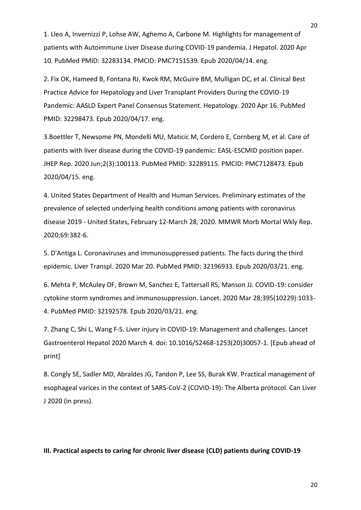1. Lleo A, Invernizzi P, Lohse AW, Aghemo A, Carbone M. Highlights for management of patients with Autoimmune Liver Disease during COVID-19 pandemia. J Hepatol. 2020 Apr 10. PubMed PMID: 32283134. PMCID: PMC7151539. Epub 2020/04/14. eng.

2. Fix OK, Hameed B, Fontana RJ, Kwok RM, McGuire BM, Mulligan DC, et al. Clinical Best Practice Advice for Hepatology and Liver Transplant Providers During the COVID-19 Pandemic: AASLD Expert Panel Consensus Statement. Hepatology. 2020 Apr 16. PubMed PMID: 32298473. Epub 2020/04/17. eng.

3.Boettler T, Newsome PN, Mondelli MU, Maticic M, Cordero E, Cornberg M, et al. Care of patients with liver disease during the COVID-19 pandemic: EASL-ESCMID position paper. JHEP Rep. 2020 Jun;2(3):100113. PubMed PMID: 32289115. PMCID: PMC7128473. Epub 2020/04/15. eng.

4. United States Department of Health and Human Services. Preliminary estimates of the prevalence of selected underlying health conditions among patients with coronavirus disease 2019 - United States, February 12-March 28, 2020. MMWR Morb Mortal Wkly Rep. 2020;69:382-6.

5. D'Antiga L. Coronaviruses and immunosuppressed patients. The facts during the third epidemic. Liver Transpl. 2020 Mar 20. PubMed PMID: 32196933. Epub 2020/03/21. eng.

6. Mehta P, McAuley DF, Brown M, Sanchez E, Tattersall RS, Manson JJ. COVID-19: consider cytokine storm syndromes and immunosuppression. Lancet. 2020 Mar 28;395(10229):1033- 4. PubMed PMID: 32192578. Epub 2020/03/21. eng.

7. Zhang C, Shi L, Wang F-S. Liver injury in COVID-19: Management and challenges. Lancet Gastroenterol Hepatol 2020 March 4. doi: 10.1016/S2468-1253(20)30057-1. [Epub ahead of print]

8. Congly SE, Sadler MD, Abraldes JG, Tandon P, Lee SS, Burak KW. Practical management of esophageal varices in the context of SARS-CoV-2 (COVID-19): The Alberta protocol. Can Liver J 2020 (in press).

#### **III. Practical aspects to caring for chronic liver disease (CLD) patients during COVID-19**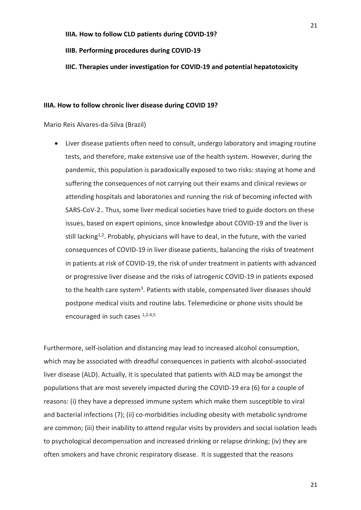#### **IIIB. Performing procedures during COVID-19**

#### **IIIC. Therapies under investigation for COVID-19 and potential hepatotoxicity**

#### **IIIA. How to follow chronic liver disease during COVID 19?**

Mario Reis Alvares-da-Silva (Brazil)

 Liver disease patients often need to consult, undergo laboratory and imaging routine tests, and therefore, make extensive use of the health system. However, during the pandemic, this population is paradoxically exposed to two risks: staying at home and suffering the consequences of not carrying out their exams and clinical reviews or attending hospitals and laboratories and running the risk of becoming infected with SARS-CoV-2.. Thus, some liver medical societies have tried to guide doctors on these issues, based on expert opinions, since knowledge about COVID-19 and the liver is still lacking<sup>1,2</sup>. Probably, physicians will have to deal, in the future, with the varied consequences of COVID-19 in liver disease patients, balancing the risks of treatment in patients at risk of COVID-19, the risk of under treatment in patients with advanced or progressive liver disease and the risks of iatrogenic COVID-19 in patients exposed to the health care system<sup>3</sup>. Patients with stable, compensated liver diseases should postpone medical visits and routine labs. Telemedicine or phone visits should be encouraged in such cases  $1,2.4,5$ 

Furthermore, self-isolation and distancing may lead to increased alcohol consumption, which may be associated with dreadful consequences in patients with alcohol-associated liver disease (ALD). Actually, it is speculated that patients with ALD may be amongst the populations that are most severely impacted during the COVID-19 era (6) for a couple of reasons: (i) they have a depressed immune system which make them susceptible to viral and bacterial infections (7); (ii) co-morbidities including obesity with metabolic syndrome are common; (iii) their inability to attend regular visits by providers and social isolation leads to psychological decompensation and increased drinking or relapse drinking; (iv) they are often smokers and have chronic respiratory disease. It is suggested that the reasons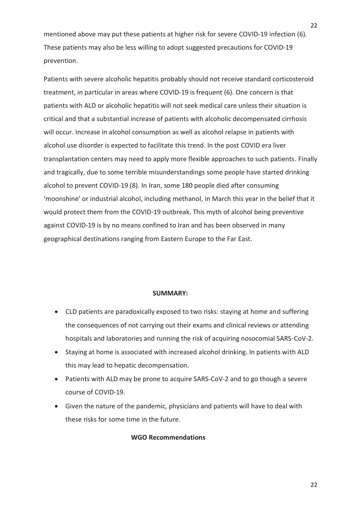mentioned above may put these patients at higher risk for severe COVID-19 infection (6). These patients may also be less willing to adopt suggested precautions for COVID-19 prevention.

Patients with severe alcoholic hepatitis probably should not receive standard corticosteroid treatment, in particular in areas where COVID-19 is frequent (6). One concern is that patients with ALD or alcoholic hepatitis will not seek medical care unless their situation is critical and that a substantial increase of patients with alcoholic decompensated cirrhosis will occur. Increase in alcohol consumption as well as alcohol relapse in patients with alcohol use disorder is expected to facilitate this trend. In the post COVID era liver transplantation centers may need to apply more flexible approaches to such patients. Finally and tragically, due to some terrible misunderstandings some people have started drinking alcohol to prevent COVID-19 (8). In Iran, some 180 people died after consuming 'moonshine' or industrial alcohol, including methanol, in March this year in the belief that it would protect them from the COVID-19 outbreak. This myth of alcohol being preventive against COVID-19 is by no means confined to Iran and has been observed in many geographical destinations ranging from Eastern Europe to the Far East.

#### **SUMMARY:**

- CLD patients are paradoxically exposed to two risks: staying at home and suffering the consequences of not carrying out their exams and clinical reviews or attending hospitals and laboratories and running the risk of acquiring nosocomial SARS-CoV-2.
- Staying at home is associated with increased alcohol drinking. In patients with ALD this may lead to hepatic decompensation.
- Patients with ALD may be prone to acquire SARS-CoV-2 and to go though a severe course of COVID-19.
- Given the nature of the pandemic, physicians and patients will have to deal with these risks for some time in the future.

#### **WGO Recommendations**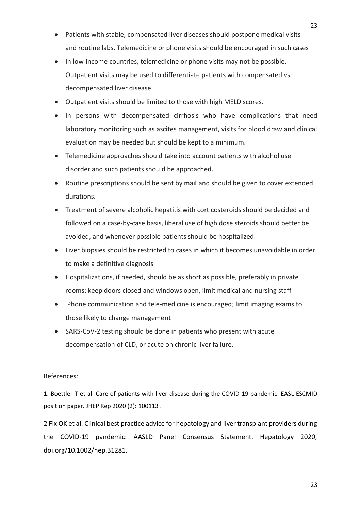- Patients with stable, compensated liver diseases should postpone medical visits and routine labs. Telemedicine or phone visits should be encouraged in such cases
- In low-income countries, telemedicine or phone visits may not be possible. Outpatient visits may be used to differentiate patients with compensated vs. decompensated liver disease.
- Outpatient visits should be limited to those with high MELD scores.
- In persons with decompensated cirrhosis who have complications that need laboratory monitoring such as ascites management, visits for blood draw and clinical evaluation may be needed but should be kept to a minimum.
- Telemedicine approaches should take into account patients with alcohol use disorder and such patients should be approached.
- Routine prescriptions should be sent by mail and should be given to cover extended durations.
- Treatment of severe alcoholic hepatitis with corticosteroids should be decided and followed on a case-by-case basis, liberal use of high dose steroids should better be avoided, and whenever possible patients should be hospitalized.
- Liver biopsies should be restricted to cases in which it becomes unavoidable in order to make a definitive diagnosis
- Hospitalizations, if needed, should be as short as possible, preferably in private rooms: keep doors closed and windows open, limit medical and nursing staff
- Phone communication and tele-medicine is encouraged; limit imaging exams to those likely to change management
- SARS-CoV-2 testing should be done in patients who present with acute decompensation of CLD, or acute on chronic liver failure.

# References:

1. Boettler T et al. Care of patients with liver disease during the COVID-19 pandemic: EASL-ESCMID position paper. JHEP Rep 2020 (2): 100113 .

2 Fix OK et al. Clinical best practice advice for hepatology and liver transplant providers during the COVID-19 pandemic: AASLD Panel Consensus Statement. Hepatology 2020, doi.org/10.1002/hep.31281.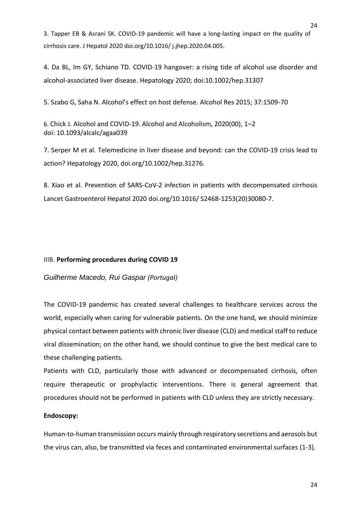3. Tapper EB & Asrani SK. COVID-19 pandemic will have a long-lasting impact on the quality of cirrhosis care. J Hepatol 2020 doi.org/10.1016/ j.jhep.2020.04.005.

4. Da BL, Im GY, Schiano TD. COVID-19 hangover: a rising tide of alcohol use disorder and alcohol-associated liver disease. Hepatology 2020; doi:10.1002/hep.31307

5. Szabo G, Saha N. Alcohol's effect on host defense. Alcohol Res 2015; 37:1509-70

6. Chick J. Alcohol and COVID-19. Alcohol and Alcoholism, 2020(00), 1–2 doi: 10.1093/alcalc/agaa039

7. Serper M et al. Telemedicine in liver disease and beyond: can the COVID-19 crisis lead to action? Hepatology 2020, doi.org/10.1002/hep.31276.

8. Xiao et al. Prevention of SARS-CoV-2 infection in patients with decompensated cirrhosis Lancet Gastroenterol Hepatol 2020 doi.org/10.1016/ S2468-1253(20)30080-7.

# IIIB. **Performing procedures during COVID 19**

# *Guilherme Macedo, Rui Gaspar (Portugal)*

The COVID-19 pandemic has created several challenges to healthcare services across the world, especially when caring for vulnerable patients. On the one hand, we should minimize physical contact between patients with chronic liver disease (CLD) and medical staff to reduce viral dissemination; on the other hand, we should continue to give the best medical care to these challenging patients.

Patients with CLD, particularly those with advanced or decompensated cirrhosis, often require therapeutic or prophylactic interventions. There is general agreement that procedures should not be performed in patients with CLD unless they are strictly necessary.

# **Endoscopy:**

Human-to-human transmission occurs mainly through respiratory secretions and aerosols but the virus can, also, be transmitted via feces and contaminated environmental surfaces (1-3).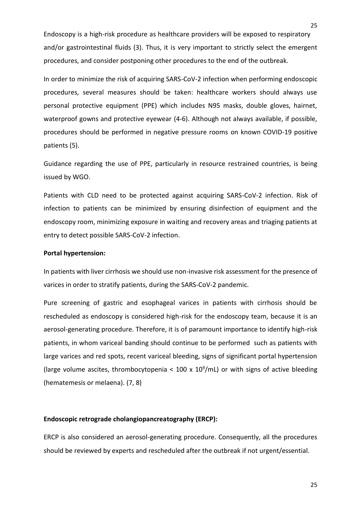Endoscopy is a high-risk procedure as healthcare providers will be exposed to respiratory and/or gastrointestinal fluids (3). Thus, it is very important to strictly select the emergent procedures, and consider postponing other procedures to the end of the outbreak.

In order to minimize the risk of acquiring SARS-CoV-2 infection when performing endoscopic procedures, several measures should be taken: healthcare workers should always use personal protective equipment (PPE) which includes N95 masks, double gloves, hairnet, waterproof gowns and protective eyewear (4-6). Although not always available, if possible, procedures should be performed in negative pressure rooms on known COVID-19 positive patients (5).

Guidance regarding the use of PPE, particularly in resource restrained countries, is being issued by WGO.

Patients with CLD need to be protected against acquiring SARS-CoV-2 infection. Risk of infection to patients can be minimized by ensuring disinfection of equipment and the endoscopy room, minimizing exposure in waiting and recovery areas and triaging patients at entry to detect possible SARS-CoV-2 infection.

#### **Portal hypertension:**

In patients with liver cirrhosis we should use non-invasive risk assessment for the presence of varices in order to stratify patients, during the SARS-CoV-2 pandemic.

Pure screening of gastric and esophageal varices in patients with cirrhosis should be rescheduled as endoscopy is considered high-risk for the endoscopy team, because it is an aerosol-generating procedure. Therefore, it is of paramount importance to identify high-risk patients, in whom variceal banding should continue to be performed such as patients with large varices and red spots, recent variceal bleeding, signs of significant portal hypertension (large volume ascites, thrombocytopenia <  $100 \times 10^9$ /mL) or with signs of active bleeding (hematemesis or melaena). (7, 8)

# **Endoscopic retrograde cholangiopancreatography (ERCP):**

ERCP is also considered an aerosol-generating procedure. Consequently, all the procedures should be reviewed by experts and rescheduled after the outbreak if not urgent/essential.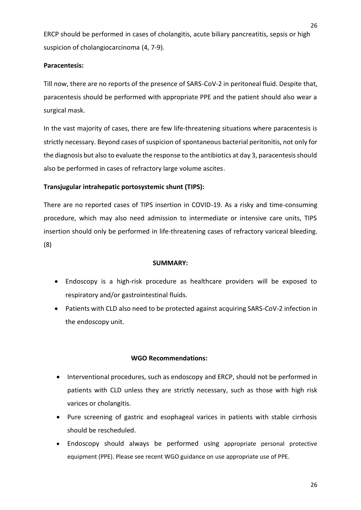ERCP should be performed in cases of cholangitis, acute biliary pancreatitis, sepsis or high suspicion of cholangiocarcinoma (4, 7-9).

# **Paracentesis:**

Till now, there are no reports of the presence of SARS-CoV-2 in peritoneal fluid. Despite that, paracentesis should be performed with appropriate PPE and the patient should also wear a surgical mask.

In the vast majority of cases, there are few life-threatening situations where paracentesis is strictly necessary. Beyond cases of suspicion of spontaneous bacterial peritonitis, not only for the diagnosis but also to evaluate the response to the antibiotics at day 3, paracentesis should also be performed in cases of refractory large volume ascites**.**

# **Transjugular intrahepatic portosystemic shunt (TIPS):**

There are no reported cases of TIPS insertion in COVID-19. As a risky and time-consuming procedure, which may also need admission to intermediate or intensive care units, TIPS insertion should only be performed in life-threatening cases of refractory variceal bleeding. (8)

#### **SUMMARY:**

- Endoscopy is a high-risk procedure as healthcare providers will be exposed to respiratory and/or gastrointestinal fluids.
- Patients with CLD also need to be protected against acquiring SARS-CoV-2 infection in the endoscopy unit.

# **WGO Recommendations:**

- Interventional procedures, such as endoscopy and ERCP, should not be performed in patients with CLD unless they are strictly necessary, such as those with high risk varices or cholangitis.
- Pure screening of gastric and esophageal varices in patients with stable cirrhosis should be rescheduled.
- Endoscopy should always be performed using appropriate personal protective equipment (PPE). Please see recent WGO guidance on use appropriate use of PPE.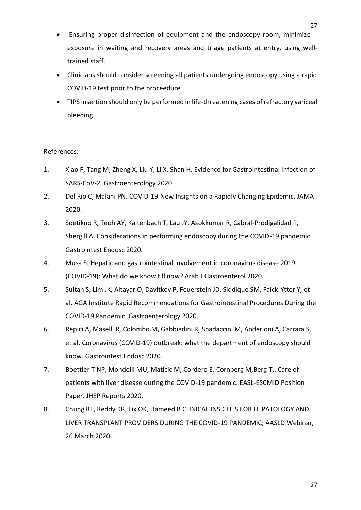- Ensuring proper disinfection of equipment and the endoscopy room, minimize exposure in waiting and recovery areas and triage patients at entry, using welltrained staff.
- Clinicians should consider screening all patients undergoing endoscopy using a rapid COVID-19 test prior to the proceedure
- TIPS insertion should only be performed in life-threatening cases of refractory variceal bleeding.

# References:

- 1. Xiao F, Tang M, Zheng X, Liu Y, Li X, Shan H. Evidence for Gastrointestinal Infection of SARS-CoV-2. Gastroenterology 2020.
- 2. Del Rio C, Malani PN. COVID-19-New Insights on a Rapidly Changing Epidemic. JAMA 2020.
- 3. Soetikno R, Teoh AY, Kaltenbach T, Lau JY, Asokkumar R, Cabral-Prodigalidad P, Shergill A. Considerations in performing endoscopy during the COVID-19 pandemic. Gastrointest Endosc 2020.
- 4. Musa S. Hepatic and gastrointestinal involvement in coronavirus disease 2019 (COVID-19): What do we know till now? Arab J Gastroenterol 2020.
- 5. Sultan S, Lim JK, Altayar O, Davitkov P, Feuerstein JD, Siddique SM, Falck-Ytter Y, et al. AGA Institute Rapid Recommendations for Gastrointestinal Procedures During the COVID-19 Pandemic. Gastroenterology 2020.
- 6. Repici A, Maselli R, Colombo M, Gabbiadini R, Spadaccini M, Anderloni A, Carrara S, et al. Coronavirus (COVID-19) outbreak: what the department of endoscopy should know. Gastrointest Endosc 2020.
- 7. Boettler T NP, Mondelli MU, Maticic M, Cordero E, Cornberg M,Berg T,. Care of patients with liver disease during the COVID-19 pandemic: EASL-ESCMID Position Paper. JHEP Reports 2020.
- 8. Chung RT, Reddy KR, Fix OK, Hameed B CLINICAL INSIGHTS FOR HEPATOLOGY AND LIVER TRANSPLANT PROVIDERS DURING THE COVID-19 PANDEMIC; AASLD Webinar, 26 March 2020.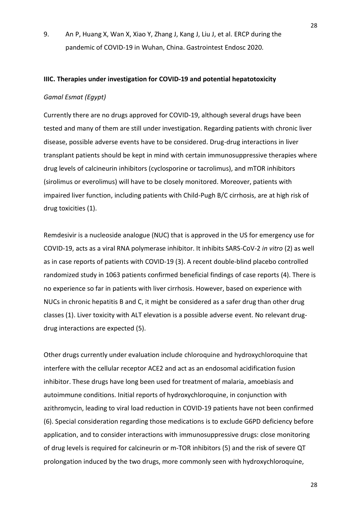9. An P, Huang X, Wan X, Xiao Y, Zhang J, Kang J, Liu J, et al. ERCP during the pandemic of COVID-19 in Wuhan, China. Gastrointest Endosc 2020.

#### **IIIC. Therapies under investigation for COVID-19 and potential hepatotoxicity**

# *Gamal Esmat (Egypt)*

Currently there are no drugs approved for COVID-19, although several drugs have been tested and many of them are still under investigation. Regarding patients with chronic liver disease, possible adverse events have to be considered. Drug-drug interactions in liver transplant patients should be kept in mind with certain immunosuppressive therapies where drug levels of calcineurin inhibitors (cyclosporine or tacrolimus), and mTOR inhibitors (sirolimus or everolimus) will have to be closely monitored. Moreover, patients with impaired liver function, including patients with Child-Pugh B/C cirrhosis, are at high risk of drug toxicities (1).

Remdesivir is a nucleoside analogue (NUC) that is approved in the US for emergency use for COVID-19, acts as a viral RNA polymerase inhibitor. It inhibits SARS-CoV-2 *in vitro* (2) as well as in case reports of patients with COVID-19 (3). A recent double-blind placebo controlled randomized study in 1063 patients confirmed beneficial findings of case reports (4). There is no experience so far in patients with liver cirrhosis. However, based on experience with NUCs in chronic hepatitis B and C, it might be considered as a safer drug than other drug classes (1). Liver toxicity with ALT elevation is a possible adverse event. No relevant drugdrug interactions are expected (5).

Other drugs currently under evaluation include chloroquine and hydroxychloroquine that interfere with the cellular receptor ACE2 and act as an endosomal acidification fusion inhibitor. These drugs have long been used for treatment of malaria, amoebiasis and autoimmune conditions. Initial reports of hydroxychloroquine, in conjunction with azithromycin, leading to viral load reduction in COVID-19 patients have not been confirmed (6). Special consideration regarding those medications is to exclude G6PD deficiency before application, and to consider interactions with immunosuppressive drugs: close monitoring of drug levels is required for calcineurin or m-TOR inhibitors (5) and the risk of severe QT prolongation induced by the two drugs, more commonly seen with hydroxychloroquine,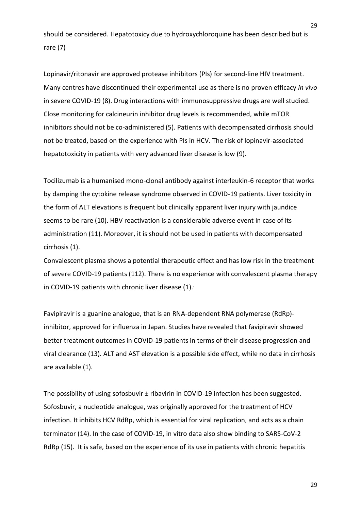should be considered. Hepatotoxicy due to hydroxychloroquine has been described but is rare (7)

Lopinavir/ritonavir are approved protease inhibitors (PIs) for second-line HIV treatment. Many centres have discontinued their experimental use as there is no proven efficacy *in vivo*  in severe COVID-19 (8). Drug interactions with immunosuppressive drugs are well studied. Close monitoring for calcineurin inhibitor drug levels is recommended, while mTOR inhibitors should not be co-administered (5). Patients with decompensated cirrhosis should not be treated, based on the experience with PIs in HCV. The risk of lopinavir-associated hepatotoxicity in patients with very advanced liver disease is low (9).

Tocilizumab is a humanised mono-clonal antibody against interleukin-6 receptor that works by damping the cytokine release syndrome observed in COVID-19 patients. Liver toxicity in the form of ALT elevations is frequent but clinically apparent liver injury with jaundice seems to be rare (10). HBV reactivation is a considerable adverse event in case of its administration (11). Moreover, it is should not be used in patients with decompensated cirrhosis (1).

Convalescent plasma shows a potential therapeutic effect and has low risk in the treatment of severe COVID-19 patients (112). There is no experience with convalescent plasma therapy in COVID-19 patients with chronic liver disease  $(1)$ .

Favipiravir is a guanine analogue, that is an RNA-dependent RNA polymerase (RdRp) inhibitor, approved for influenza in Japan. Studies have revealed that favipiravir showed better treatment outcomes in COVID-19 patients in terms of their disease progression and viral clearance (13). ALT and AST elevation is a possible side effect, while no data in cirrhosis are available (1).

The possibility of using sofosbuvir ± ribavirin in COVID-19 infection has been suggested. Sofosbuvir, a nucleotide analogue, was originally approved for the treatment of HCV infection. It inhibits HCV RdRp, which is essential for viral replication, and acts as a chain terminator (14). In the case of COVID-19, in vitro data also show binding to SARS-CoV-2 RdRp (15). It is safe, based on the experience of its use in patients with chronic hepatitis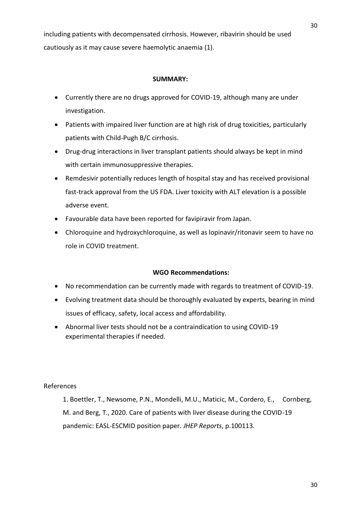including patients with decompensated cirrhosis. However, ribavirin should be used cautiously as it may cause severe haemolytic anaemia (1).

### **SUMMARY:**

- Currently there are no drugs approved for COVID-19, although many are under investigation.
- Patients with impaired liver function are at high risk of drug toxicities, particularly patients with Child-Pugh B/C cirrhosis.
- Drug-drug interactions in liver transplant patients should always be kept in mind with certain immunosuppressive therapies.
- Remdesivir potentially reduces length of hospital stay and has received provisional fast-track approval from the US FDA. Liver toxicity with ALT elevation is a possible adverse event.
- Favourable data have been reported for favipiravir from Japan.
- Chloroquine and hydroxychloroquine, as well as lopinavir/ritonavir seem to have no role in COVID treatment.

# **WGO Recommendations:**

- No recommendation can be currently made with regards to treatment of COVID-19.
- Evolving treatment data should be thoroughly evaluated by experts, bearing in mind issues of efficacy, safety, local access and affordability.
- Abnormal liver tests should not be a contraindication to using COVID-19 experimental therapies if needed.

#### References

1. Boettler, T., Newsome, P.N., Mondelli, M.U., Maticic, M., Cordero, E., Cornberg, M. and Berg, T., 2020. Care of patients with liver disease during the COVID-19 pandemic: EASL-ESCMID position paper. *JHEP Reports*, p.100113.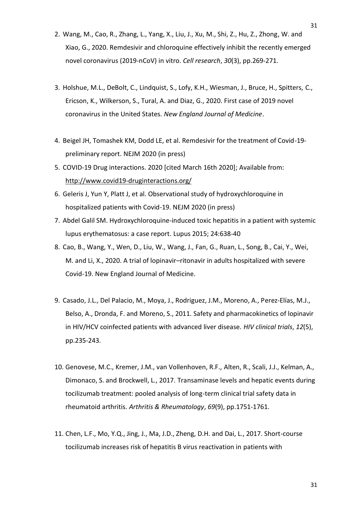- 2. Wang, M., Cao, R., Zhang, L., Yang, X., Liu, J., Xu, M., Shi, Z., Hu, Z., Zhong, W. and Xiao, G., 2020. Remdesivir and chloroquine effectively inhibit the recently emerged novel coronavirus (2019-nCoV) in vitro. *Cell research*, *30*(3), pp.269-271.
- 3. Holshue, M.L., DeBolt, C., Lindquist, S., Lofy, K.H., Wiesman, J., Bruce, H., Spitters, C., Ericson, K., Wilkerson, S., Tural, A. and Diaz, G., 2020. First case of 2019 novel coronavirus in the United States. *New England Journal of Medicine*.
- 4. Beigel JH, Tomashek KM, Dodd LE, et al. Remdesivir for the treatment of Covid-19 preliminary report. NEJM 2020 (in press)
- 5. COVID-19 Drug interactions. 2020 [cited March 16th 2020]; Available from: <http://www.covid19-druginteractions.org/>
- 6. Geleris J, Yun Y, Platt J, et al. Observational study of hydroxychloroquine in hospitalized patients with Covid-19. NEJM 2020 (in press)
- 7. Abdel Galil SM. Hydroxychloroquine-induced toxic hepatitis in a patient with systemic lupus erythematosus: a case report. Lupus 2015; 24:638-40
- 8. Cao, B., Wang, Y., Wen, D., Liu, W., Wang, J., Fan, G., Ruan, L., Song, B., Cai, Y., Wei, M. and Li, X., 2020. A trial of lopinavir–ritonavir in adults hospitalized with severe Covid-19. New England Journal of Medicine.
- 9. Casado, J.L., Del Palacio, M., Moya, J., Rodriguez, J.M., Moreno, A., Perez-Elías, M.J., Belso, A., Dronda, F. and Moreno, S., 2011. Safety and pharmacokinetics of lopinavir in HIV/HCV coinfected patients with advanced liver disease. *HIV clinical trials*, *12*(5), pp.235-243.
- 10. Genovese, M.C., Kremer, J.M., van Vollenhoven, R.F., Alten, R., Scali, J.J., Kelman, A., Dimonaco, S. and Brockwell, L., 2017. Transaminase levels and hepatic events during tocilizumab treatment: pooled analysis of long-term clinical trial safety data in rheumatoid arthritis. *Arthritis & Rheumatology*, *69*(9), pp.1751-1761.
- 11. Chen, L.F., Mo, Y.Q., Jing, J., Ma, J.D., Zheng, D.H. and Dai, L., 2017. Short-course tocilizumab increases risk of hepatitis B virus reactivation in patients with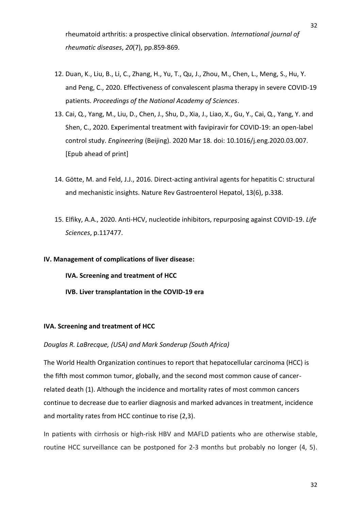rheumatoid arthritis: a prospective clinical observation. *International journal of rheumatic diseases*, *20*(7), pp.859-869.

- 12. Duan, K., Liu, B., Li, C., Zhang, H., Yu, T., Qu, J., Zhou, M., Chen, L., Meng, S., Hu, Y. and Peng, C., 2020. Effectiveness of convalescent plasma therapy in severe COVID-19 patients. *Proceedings of the National Academy of Sciences*.
- 13. Cai, Q., Yang, M., Liu, D., Chen, J., Shu, D., Xia, J., Liao, X., Gu, Y., Cai, Q., Yang, Y. and Shen, C., 2020. Experimental treatment with favipiravir for COVID-19: an open-label control study. *Engineering* (Beijing). 2020 Mar 18. doi: 10.1016/j.eng.2020.03.007. [Epub ahead of print]
- 14. Götte, M. and Feld, J.J., 2016. Direct-acting antiviral agents for hepatitis C: structural and mechanistic insights. Nature Rev Gastroenterol Hepatol, 13(6), p.338.
- 15. Elfiky, A.A., 2020. Anti-HCV, nucleotide inhibitors, repurposing against COVID-19. *Life Sciences*, p.117477.

#### **IV. Management of complications of liver disease:**

- **IVA. Screening and treatment of HCC**
- **IVB. Liver transplantation in the COVID-19 era**

#### **IVA. Screening and treatment of HCC**

#### *Douglas R. LaBrecque, (USA) and Mark Sonderup (South Africa)*

The World Health Organization continues to report that hepatocellular carcinoma (HCC) is the fifth most common tumor, globally, and the second most common cause of cancerrelated death (1). Although the incidence and mortality rates of most common cancers continue to decrease due to earlier diagnosis and marked advances in treatment, incidence and mortality rates from HCC continue to rise (2,3).

In patients with cirrhosis or high-risk HBV and MAFLD patients who are otherwise stable, routine HCC surveillance can be postponed for 2-3 months but probably no longer (4, 5).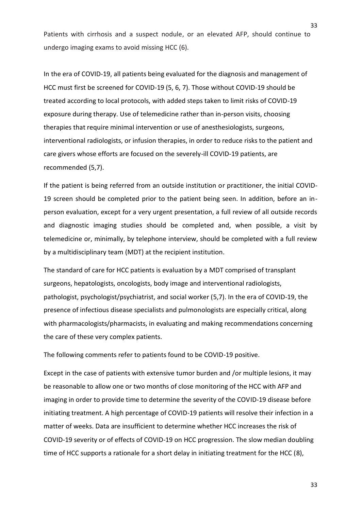Patients with cirrhosis and a suspect nodule, or an elevated AFP, should continue to undergo imaging exams to avoid missing HCC (6).

In the era of COVID-19, all patients being evaluated for the diagnosis and management of HCC must first be screened for COVID-19 (5, 6, 7). Those without COVID-19 should be treated according to local protocols, with added steps taken to limit risks of COVID-19 exposure during therapy. Use of telemedicine rather than in-person visits, choosing therapies that require minimal intervention or use of anesthesiologists, surgeons, interventional radiologists, or infusion therapies, in order to reduce risks to the patient and care givers whose efforts are focused on the severely-ill COVID-19 patients, are recommended (5,7).

If the patient is being referred from an outside institution or practitioner, the initial COVID-19 screen should be completed prior to the patient being seen. In addition, before an inperson evaluation, except for a very urgent presentation, a full review of all outside records and diagnostic imaging studies should be completed and, when possible, a visit by telemedicine or, minimally, by telephone interview, should be completed with a full review by a multidisciplinary team (MDT) at the recipient institution.

The standard of care for HCC patients is evaluation by a MDT comprised of transplant surgeons, hepatologists, oncologists, body image and interventional radiologists, pathologist, psychologist/psychiatrist, and social worker (5,7). In the era of COVID-19, the presence of infectious disease specialists and pulmonologists are especially critical, along with pharmacologists/pharmacists, in evaluating and making recommendations concerning the care of these very complex patients.

The following comments refer to patients found to be COVID-19 positive.

Except in the case of patients with extensive tumor burden and /or multiple lesions, it may be reasonable to allow one or two months of close monitoring of the HCC with AFP and imaging in order to provide time to determine the severity of the COVID-19 disease before initiating treatment. A high percentage of COVID-19 patients will resolve their infection in a matter of weeks. Data are insufficient to determine whether HCC increases the risk of COVID-19 severity or of effects of COVID-19 on HCC progression. The slow median doubling time of HCC supports a rationale for a short delay in initiating treatment for the HCC (8),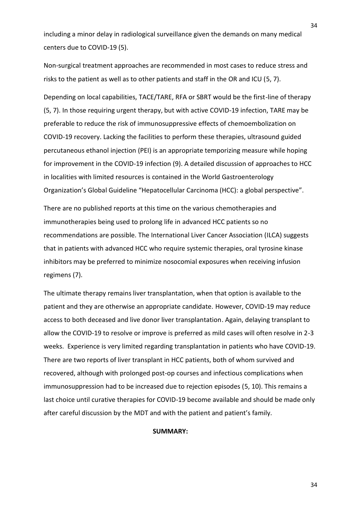including a minor delay in radiological surveillance given the demands on many medical centers due to COVID-19 (5).

Non-surgical treatment approaches are recommended in most cases to reduce stress and risks to the patient as well as to other patients and staff in the OR and ICU (5, 7).

Depending on local capabilities, TACE/TARE, RFA or SBRT would be the first-line of therapy (5, 7). In those requiring urgent therapy, but with active COVID-19 infection, TARE may be preferable to reduce the risk of immunosuppressive effects of chemoembolization on COVID-19 recovery. Lacking the facilities to perform these therapies, ultrasound guided percutaneous ethanol injection (PEI) is an appropriate temporizing measure while hoping for improvement in the COVID-19 infection (9). A detailed discussion of approaches to HCC in localities with limited resources is contained in the World Gastroenterology Organization's Global Guideline "Hepatocellular Carcinoma (HCC): a global perspective".

There are no published reports at this time on the various chemotherapies and immunotherapies being used to prolong life in advanced HCC patients so no recommendations are possible. The International Liver Cancer Association (ILCA) suggests that in patients with advanced HCC who require systemic therapies, oral tyrosine kinase inhibitors may be preferred to minimize nosocomial exposures when receiving infusion regimens (7).

The ultimate therapy remains liver transplantation, when that option is available to the patient and they are otherwise an appropriate candidate. However, COVID-19 may reduce access to both deceased and live donor liver transplantation. Again, delaying transplant to allow the COVID-19 to resolve or improve is preferred as mild cases will often resolve in 2-3 weeks. Experience is very limited regarding transplantation in patients who have COVID-19. There are two reports of liver transplant in HCC patients, both of whom survived and recovered, although with prolonged post-op courses and infectious complications when immunosuppression had to be increased due to rejection episodes (5, 10). This remains a last choice until curative therapies for COVID-19 become available and should be made only after careful discussion by the MDT and with the patient and patient's family.

#### **SUMMARY:**

34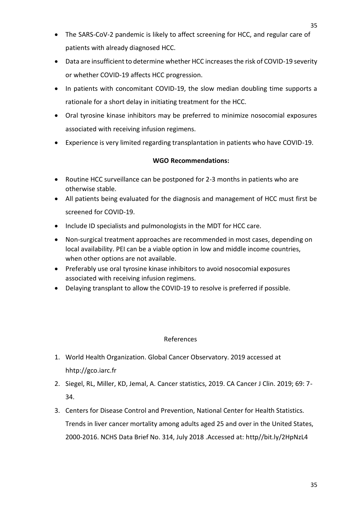- Data are insufficient to determine whether HCC increases the risk of COVID-19 severity or whether COVID-19 affects HCC progression.
- In patients with concomitant COVID-19, the slow median doubling time supports a rationale for a short delay in initiating treatment for the HCC.
- Oral tyrosine kinase inhibitors may be preferred to minimize nosocomial exposures associated with receiving infusion regimens.
- Experience is very limited regarding transplantation in patients who have COVID-19.

# **WGO Recommendations:**

- Routine HCC surveillance can be postponed for 2-3 months in patients who are otherwise stable.
- All patients being evaluated for the diagnosis and management of HCC must first be screened for COVID-19.
- Include ID specialists and pulmonologists in the MDT for HCC care.
- Non-surgical treatment approaches are recommended in most cases, depending on local availability. PEI can be a viable option in low and middle income countries, when other options are not available.
- Preferably use oral tyrosine kinase inhibitors to avoid nosocomial exposures associated with receiving infusion regimens.
- Delaying transplant to allow the COVID-19 to resolve is preferred if possible.

# References

- 1. World Health Organization. Global Cancer Observatory. 2019 accessed at hhtp://gco.iarc.fr
- 2. Siegel, RL, Miller, KD, Jemal, A. Cancer statistics, 2019. CA Cancer J Clin. 2019; 69: 7- 34.
- 3. Centers for Disease Control and Prevention, National Center for Health Statistics. Trends in liver cancer mortality among adults aged 25 and over in the United States, 2000-2016. NCHS Data Brief No. 314, July 2018 .Accessed at: http//bit.ly/2HpNzL4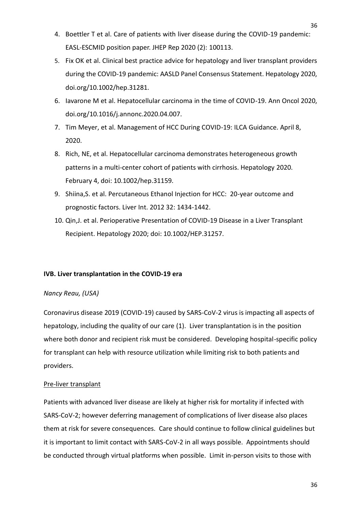- 4. Boettler T et al. Care of patients with liver disease during the COVID-19 pandemic: EASL-ESCMID position paper. JHEP Rep 2020 (2): 100113.
- 5. Fix OK et al. Clinical best practice advice for hepatology and liver transplant providers during the COVID-19 pandemic: AASLD Panel Consensus Statement. Hepatology 2020, doi.org/10.1002/hep.31281.
- 6. Iavarone M et al. Hepatocellular carcinoma in the time of COVID-19. Ann Oncol 2020, doi.org/10.1016/j.annonc.2020.04.007.
- 7. Tim Meyer, et al. Management of HCC During COVID-19: ILCA Guidance. April 8, 2020.
- 8. Rich, NE, et al. Hepatocellular carcinoma demonstrates heterogeneous growth patterns in a multi-center cohort of patients with cirrhosis. Hepatology 2020. February 4, doi: 10.1002/hep.31159.
- 9. Shiina,S. et al. Percutaneous Ethanol Injection for HCC: 20-year outcome and prognostic factors. Liver Int. 2012 32: 1434-1442.
- 10. Qin,J. et al. Perioperative Presentation of COVID-19 Disease in a Liver Transplant Recipient. Hepatology 2020; doi: 10.1002/HEP.31257.

# **IVB. Liver transplantation in the COVID-19 era**

# *Nancy Reau, (USA)*

Coronavirus disease 2019 (COVID-19) caused by SARS-CoV-2 virus is impacting all aspects of hepatology, including the quality of our care (1). Liver transplantation is in the position where both donor and recipient risk must be considered. Developing hospital-specific policy for transplant can help with resource utilization while limiting risk to both patients and providers.

# Pre-liver transplant

Patients with advanced liver disease are likely at higher risk for mortality if infected with SARS-CoV-2; however deferring management of complications of liver disease also places them at risk for severe consequences. Care should continue to follow clinical guidelines but it is important to limit contact with SARS-CoV-2 in all ways possible. Appointments should be conducted through virtual platforms when possible. Limit in-person visits to those with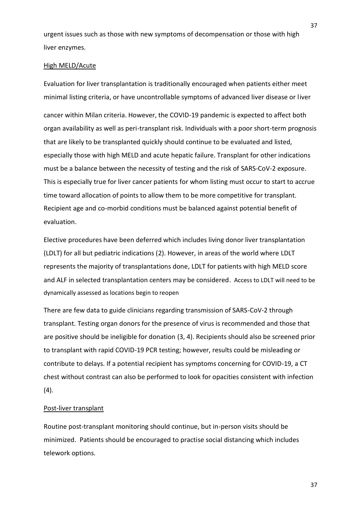urgent issues such as those with new symptoms of decompensation or those with high liver enzymes.

#### High MELD/Acute

Evaluation for liver transplantation is traditionally encouraged when patients either meet minimal listing criteria, or have uncontrollable symptoms of advanced liver disease or liver

cancer within Milan criteria. However, the COVID-19 pandemic is expected to affect both organ availability as well as peri-transplant risk. Individuals with a poor short-term prognosis that are likely to be transplanted quickly should continue to be evaluated and listed, especially those with high MELD and acute hepatic failure. Transplant for other indications must be a balance between the necessity of testing and the risk of SARS-CoV-2 exposure. This is especially true for liver cancer patients for whom listing must occur to start to accrue time toward allocation of points to allow them to be more competitive for transplant. Recipient age and co-morbid conditions must be balanced against potential benefit of evaluation.

Elective procedures have been deferred which includes living donor liver transplantation (LDLT) for all but pediatric indications (2). However, in areas of the world where LDLT represents the majority of transplantations done, LDLT for patients with high MELD score and ALF in selected transplantation centers may be considered. Access to LDLT will need to be dynamically assessed as locations begin to reopen

There are few data to guide clinicians regarding transmission of SARS-CoV-2 through transplant. Testing organ donors for the presence of virus is recommended and those that are positive should be ineligible for donation (3, 4). Recipients should also be screened prior to transplant with rapid COVID-19 PCR testing; however, results could be misleading or contribute to delays. If a potential recipient has symptoms concerning for COVID-19, a CT chest without contrast can also be performed to look for opacities consistent with infection (4).

#### Post-liver transplant

Routine post-transplant monitoring should continue, but in-person visits should be minimized. Patients should be encouraged to practise social distancing which includes telework options.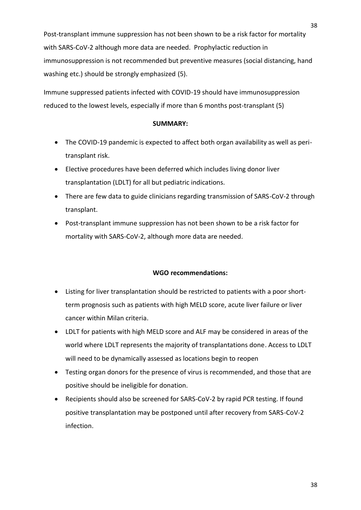washing etc.) should be strongly emphasized (5).

Immune suppressed patients infected with COVID-19 should have immunosuppression reduced to the lowest levels, especially if more than 6 months post-transplant (5)

# **SUMMARY:**

- The COVID-19 pandemic is expected to affect both organ availability as well as peritransplant risk.
- Elective procedures have been deferred which includes living donor liver transplantation (LDLT) for all but pediatric indications.
- There are few data to guide clinicians regarding transmission of SARS-CoV-2 through transplant.
- Post-transplant immune suppression has not been shown to be a risk factor for mortality with SARS-CoV-2, although more data are needed.

# **WGO recommendations:**

- Listing for liver transplantation should be restricted to patients with a poor shortterm prognosis such as patients with high MELD score, acute liver failure or liver cancer within Milan criteria.
- LDLT for patients with high MELD score and ALF may be considered in areas of the world where LDLT represents the majority of transplantations done. Access to LDLT will need to be dynamically assessed as locations begin to reopen
- Testing organ donors for the presence of virus is recommended, and those that are positive should be ineligible for donation.
- Recipients should also be screened for SARS-CoV-2 by rapid PCR testing. If found positive transplantation may be postponed until after recovery from SARS-CoV-2 infection.

38